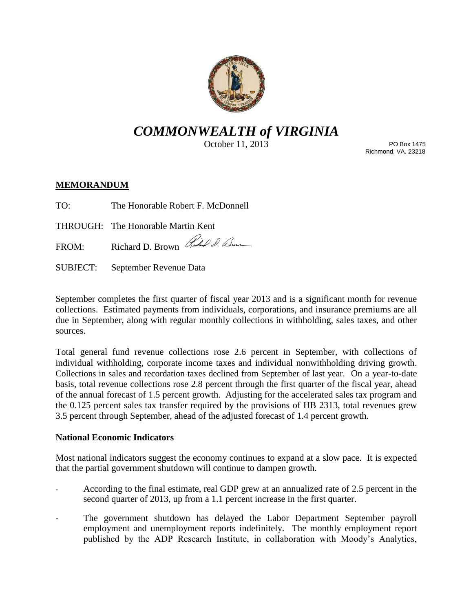

# *COMMONWEALTH of VIRGINIA*

October 11, 2013

PO Box 1475 Richmond, VA. 23218

## **MEMORANDUM**

TO: The Honorable Robert F. McDonnell

THROUGH: The Honorable Martin Kent

FROM: Richard D. Brown Ruchel Sim

SUBJECT: September Revenue Data

September completes the first quarter of fiscal year 2013 and is a significant month for revenue collections. Estimated payments from individuals, corporations, and insurance premiums are all due in September, along with regular monthly collections in withholding, sales taxes, and other sources.

Total general fund revenue collections rose 2.6 percent in September, with collections of individual withholding, corporate income taxes and individual nonwithholding driving growth. Collections in sales and recordation taxes declined from September of last year. On a year-to-date basis, total revenue collections rose 2.8 percent through the first quarter of the fiscal year, ahead of the annual forecast of 1.5 percent growth. Adjusting for the accelerated sales tax program and the 0.125 percent sales tax transfer required by the provisions of HB 2313, total revenues grew 3.5 percent through September, ahead of the adjusted forecast of 1.4 percent growth.

## **National Economic Indicators**

Most national indicators suggest the economy continues to expand at a slow pace. It is expected that the partial government shutdown will continue to dampen growth.

- According to the final estimate, real GDP grew at an annualized rate of 2.5 percent in the second quarter of 2013, up from a 1.1 percent increase in the first quarter.
- The government shutdown has delayed the Labor Department September payroll employment and unemployment reports indefinitely. The monthly employment report published by the ADP Research Institute, in collaboration with Moody's Analytics,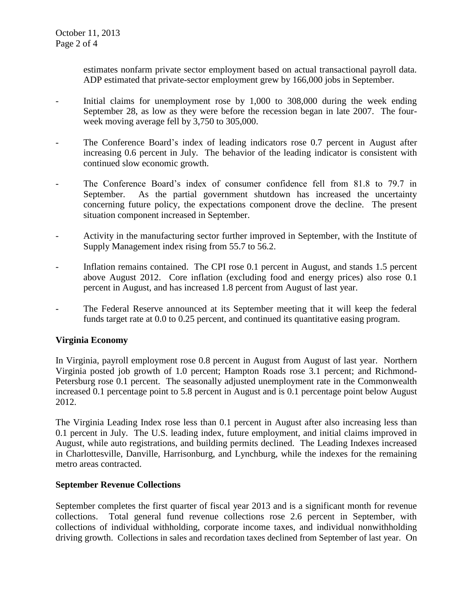estimates nonfarm private sector employment based on actual transactional payroll data. ADP estimated that private-sector employment grew by 166,000 jobs in September.

- Initial claims for unemployment rose by 1,000 to 308,000 during the week ending September 28, as low as they were before the recession began in late 2007. The fourweek moving average fell by 3,750 to 305,000.
- The Conference Board's index of leading indicators rose 0.7 percent in August after increasing 0.6 percent in July. The behavior of the leading indicator is consistent with continued slow economic growth.
- The Conference Board's index of consumer confidence fell from 81.8 to 79.7 in September. As the partial government shutdown has increased the uncertainty concerning future policy, the expectations component drove the decline. The present situation component increased in September.
- Activity in the manufacturing sector further improved in September, with the Institute of Supply Management index rising from 55.7 to 56.2.
- Inflation remains contained. The CPI rose 0.1 percent in August, and stands 1.5 percent above August 2012. Core inflation (excluding food and energy prices) also rose 0.1 percent in August, and has increased 1.8 percent from August of last year.
- The Federal Reserve announced at its September meeting that it will keep the federal funds target rate at 0.0 to 0.25 percent, and continued its quantitative easing program.

## **Virginia Economy**

In Virginia, payroll employment rose 0.8 percent in August from August of last year. Northern Virginia posted job growth of 1.0 percent; Hampton Roads rose 3.1 percent; and Richmond-Petersburg rose 0.1 percent. The seasonally adjusted unemployment rate in the Commonwealth increased 0.1 percentage point to 5.8 percent in August and is 0.1 percentage point below August 2012.

The Virginia Leading Index rose less than 0.1 percent in August after also increasing less than 0.1 percent in July. The U.S. leading index, future employment, and initial claims improved in August, while auto registrations, and building permits declined. The Leading Indexes increased in Charlottesville, Danville, Harrisonburg, and Lynchburg, while the indexes for the remaining metro areas contracted.

#### **September Revenue Collections**

September completes the first quarter of fiscal year 2013 and is a significant month for revenue collections. Total general fund revenue collections rose 2.6 percent in September, with collections of individual withholding, corporate income taxes, and individual nonwithholding driving growth. Collections in sales and recordation taxes declined from September of last year. On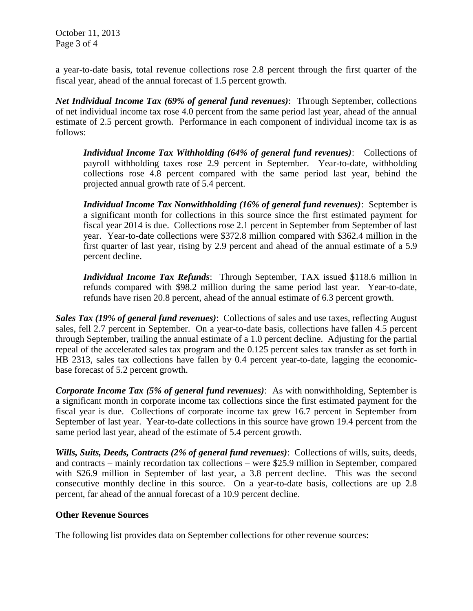October 11, 2013 Page 3 of 4

a year-to-date basis, total revenue collections rose 2.8 percent through the first quarter of the fiscal year, ahead of the annual forecast of 1.5 percent growth.

*Net Individual Income Tax (69% of general fund revenues)*: Through September, collections of net individual income tax rose 4.0 percent from the same period last year, ahead of the annual estimate of 2.5 percent growth. Performance in each component of individual income tax is as follows:

*Individual Income Tax Withholding (64% of general fund revenues)*: Collections of payroll withholding taxes rose 2.9 percent in September. Year-to-date, withholding collections rose 4.8 percent compared with the same period last year, behind the projected annual growth rate of 5.4 percent.

*Individual Income Tax Nonwithholding (16% of general fund revenues)*: September is a significant month for collections in this source since the first estimated payment for fiscal year 2014 is due. Collections rose 2.1 percent in September from September of last year. Year-to-date collections were \$372.8 million compared with \$362.4 million in the first quarter of last year, rising by 2.9 percent and ahead of the annual estimate of a 5.9 percent decline.

*Individual Income Tax Refunds*: Through September, TAX issued \$118.6 million in refunds compared with \$98.2 million during the same period last year. Year-to-date, refunds have risen 20.8 percent, ahead of the annual estimate of 6.3 percent growth.

*Sales Tax (19% of general fund revenues)*: Collections of sales and use taxes, reflecting August sales, fell 2.7 percent in September. On a year-to-date basis, collections have fallen 4.5 percent through September, trailing the annual estimate of a 1.0 percent decline. Adjusting for the partial repeal of the accelerated sales tax program and the 0.125 percent sales tax transfer as set forth in HB 2313, sales tax collections have fallen by 0.4 percent year-to-date, lagging the economicbase forecast of 5.2 percent growth.

*Corporate Income Tax (5% of general fund revenues)*: As with nonwithholding, September is a significant month in corporate income tax collections since the first estimated payment for the fiscal year is due. Collections of corporate income tax grew 16.7 percent in September from September of last year. Year-to-date collections in this source have grown 19.4 percent from the same period last year, ahead of the estimate of 5.4 percent growth.

*Wills, Suits, Deeds, Contracts (2% of general fund revenues)*: Collections of wills, suits, deeds, and contracts – mainly recordation tax collections – were \$25.9 million in September, compared with \$26.9 million in September of last year, a 3.8 percent decline. This was the second consecutive monthly decline in this source. On a year-to-date basis, collections are up 2.8 percent, far ahead of the annual forecast of a 10.9 percent decline.

### **Other Revenue Sources**

The following list provides data on September collections for other revenue sources: